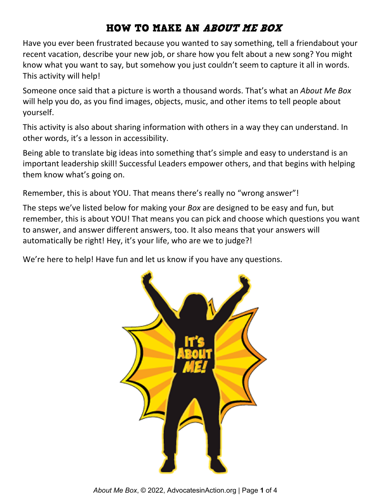### HOW TO MAKE AN ABOUT ME BOX

Have you ever been frustrated because you wanted to say something, tell a friendabout your recent vacation, describe your new job, or share how you felt about a new song? You might know what you want to say, but somehow you just couldn't seem to capture it all in words. This activity will help!

Someone once said that a picture is worth a thousand words. That's what an *About Me Box* will help you do, as you find images, objects, music, and other items to tell people about yourself.

This activity is also about sharing information with others in a way they can understand. In other words, it's a lesson in accessibility.

Being able to translate big ideas into something that's simple and easy to understand is an important leadership skill! Successful Leaders empower others, and that begins with helping them know what's going on.

Remember, this is about YOU. That means there's really no "wrong answer"!

The steps we've listed below for making your *Box* are designed to be easy and fun, but remember, this is about YOU! That means you can pick and choose which questions you want to answer, and answer different answers, too. It also means that your answers will automatically be right! Hey, it's your life, who are we to judge?!

We're here to help! Have fun and let us know if you have any questions.

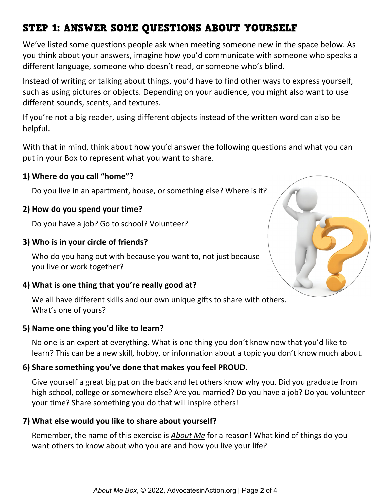# STEP 1: ANSWER SOME QUESTIONS ABOUT YOURSELF

We've listed some questions people ask when meeting someone new in the space below. As you think about your answers, imagine how you'd communicate with someone who speaks a different language, someone who doesn't read, or someone who's blind.

Instead of writing or talking about things, you'd have to find other ways to express yourself, such as using pictures or objects. Depending on your audience, you might also want to use different sounds, scents, and textures.

If you're not a big reader, using different objects instead of the written word can also be helpful.

With that in mind, think about how you'd answer the following questions and what you can put in your Box to represent what you want to share.

#### **1) Where do you call "home"?**

Do you live in an apartment, house, or something else? Where is it?

#### **2) How do you spend your time?**

Do you have a job? Go to school? Volunteer?

#### **3) Who is in your circle of friends?**

Who do you hang out with because you want to, not just because you live or work together?

#### **4) What is one thing that you're really good at?**

We all have different skills and our own unique gifts to share with others. What's one of yours?

#### **5) Name one thing you'd like to learn?**

No one is an expert at everything. What is one thing you don't know now that you'd like to learn? This can be a new skill, hobby, or information about a topic you don't know much about.

#### **6) Share something you've done that makes you feel PROUD.**

Give yourself a great big pat on the back and let others know why you. Did you graduate from high school, college or somewhere else? Are you married? Do you have a job? Do you volunteer your time? Share something you do that will inspire others!

#### **7) What else would you like to share about yourself?**

Remember, the name of this exercise is *About Me* for a reason! What kind of things do you want others to know about who you are and how you live your life?

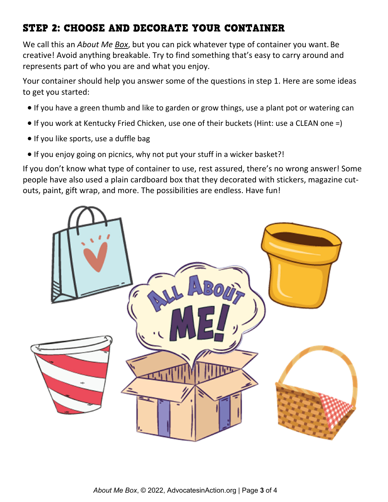## STEP 2: CHOOSE AND DECORATE YOUR CONTAINER

We call this an *About Me Box*, but you can pick whatever type of container you want. Be creative! Avoid anything breakable. Try to find something that's easy to carry around and represents part of who you are and what you enjoy.

Your container should help you answer some of the questions in step 1. Here are some ideas to get you started:

- If you have a green thumb and like to garden or grow things, use a plant pot or watering can
- If you work at Kentucky Fried Chicken, use one of their buckets (Hint: use a CLEAN one =)
- If you like sports, use a duffle bag
- If you enjoy going on picnics, why not put your stuff in a wicker basket?!

If you don't know what type of container to use, rest assured, there's no wrong answer! Some people have also used a plain cardboard box that they decorated with stickers, magazine cutouts, paint, gift wrap, and more. The possibilities are endless. Have fun!